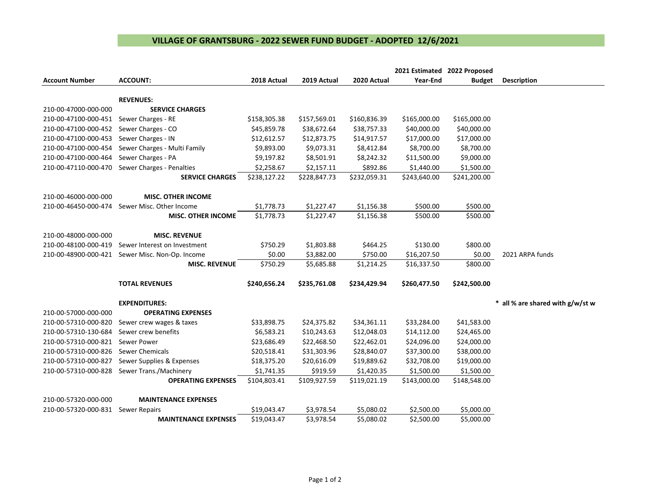## **VILLAGE OF GRANTSBURG - 2022 SEWER FUND BUDGET - ADOPTED 12/6/2021**

|                       |                              |              |              |              | 2021 Estimated 2022 Proposed |               |                                  |
|-----------------------|------------------------------|--------------|--------------|--------------|------------------------------|---------------|----------------------------------|
| <b>Account Number</b> | <b>ACCOUNT:</b>              | 2018 Actual  | 2019 Actual  | 2020 Actual  | Year-End                     | <b>Budget</b> | <b>Description</b>               |
|                       |                              |              |              |              |                              |               |                                  |
|                       | <b>REVENUES:</b>             |              |              |              |                              |               |                                  |
| 210-00-47000-000-000  | <b>SERVICE CHARGES</b>       |              |              |              |                              |               |                                  |
| 210-00-47100-000-451  | Sewer Charges - RE           | \$158,305.38 | \$157,569.01 | \$160,836.39 | \$165,000.00                 | \$165,000.00  |                                  |
| 210-00-47100-000-452  | Sewer Charges - CO           | \$45,859.78  | \$38,672.64  | \$38,757.33  | \$40,000.00                  | \$40,000.00   |                                  |
| 210-00-47100-000-453  | Sewer Charges - IN           | \$12,612.57  | \$12,873.75  | \$14,917.57  | \$17,000.00                  | \$17,000.00   |                                  |
| 210-00-47100-000-454  | Sewer Charges - Multi Family | \$9,893.00   | \$9,073.31   | \$8,412.84   | \$8,700.00                   | \$8,700.00    |                                  |
| 210-00-47100-000-464  | Sewer Charges - PA           | \$9,197.82   | \$8,501.91   | \$8,242.32   | \$11,500.00                  | \$9,000.00    |                                  |
| 210-00-47110-000-470  | Sewer Charges - Penalties    | \$2,258.67   | \$2,157.11   | \$892.86     | \$1,440.00                   | \$1,500.00    |                                  |
|                       | <b>SERVICE CHARGES</b>       | \$238,127.22 | \$228,847.73 | \$232,059.31 | \$243,640.00                 | \$241,200.00  |                                  |
|                       |                              |              |              |              |                              |               |                                  |
| 210-00-46000-000-000  | <b>MISC. OTHER INCOME</b>    |              |              |              |                              |               |                                  |
| 210-00-46450-000-474  | Sewer Misc. Other Income     | \$1,778.73   | \$1,227.47   | \$1,156.38   | \$500.00                     | \$500.00      |                                  |
|                       | <b>MISC. OTHER INCOME</b>    | \$1,778.73   | \$1,227.47   | \$1,156.38   | \$500.00                     | \$500.00      |                                  |
| 210-00-48000-000-000  | <b>MISC. REVENUE</b>         |              |              |              |                              |               |                                  |
| 210-00-48100-000-419  | Sewer Interest on Investment | \$750.29     | \$1,803.88   | \$464.25     | \$130.00                     | \$800.00      |                                  |
| 210-00-48900-000-421  | Sewer Misc. Non-Op. Income   | \$0.00       | \$3,882.00   | \$750.00     | \$16,207.50                  | \$0.00        | 2021 ARPA funds                  |
|                       | <b>MISC. REVENUE</b>         | \$750.29     | \$5,685.88   | \$1,214.25   | \$16,337.50                  | \$800.00      |                                  |
|                       | <b>TOTAL REVENUES</b>        | \$240,656.24 | \$235,761.08 | \$234,429.94 | \$260,477.50                 | \$242,500.00  |                                  |
|                       |                              |              |              |              |                              |               |                                  |
|                       | <b>EXPENDITURES:</b>         |              |              |              |                              |               | * all % are shared with g/w/st w |
| 210-00-57000-000-000  | <b>OPERATING EXPENSES</b>    |              |              |              |                              |               |                                  |
| 210-00-57310-000-820  | Sewer crew wages & taxes     | \$33,898.75  | \$24,375.82  | \$34,361.11  | \$33,284.00                  | \$41,583.00   |                                  |
| 210-00-57310-130-684  | Sewer crew benefits          | \$6,583.21   | \$10,243.63  | \$12,048.03  | \$14,112.00                  | \$24,465.00   |                                  |
| 210-00-57310-000-821  | Sewer Power                  | \$23,686.49  | \$22,468.50  | \$22,462.01  | \$24,096.00                  | \$24,000.00   |                                  |
| 210-00-57310-000-826  | <b>Sewer Chemicals</b>       | \$20,518.41  | \$31,303.96  | \$28,840.07  | \$37,300.00                  | \$38,000.00   |                                  |
| 210-00-57310-000-827  | Sewer Supplies & Expenses    | \$18,375.20  | \$20,616.09  | \$19,889.62  | \$32,708.00                  | \$19,000.00   |                                  |
| 210-00-57310-000-828  | Sewer Trans./Machinery       | \$1,741.35   | \$919.59     | \$1,420.35   | \$1,500.00                   | \$1,500.00    |                                  |
|                       | <b>OPERATING EXPENSES</b>    | \$104,803.41 | \$109,927.59 | \$119,021.19 | \$143,000.00                 | \$148,548.00  |                                  |
| 210-00-57320-000-000  | <b>MAINTENANCE EXPENSES</b>  |              |              |              |                              |               |                                  |
| 210-00-57320-000-831  | <b>Sewer Repairs</b>         | \$19,043.47  | \$3,978.54   | \$5,080.02   | \$2,500.00                   | \$5,000.00    |                                  |
|                       | <b>MAINTENANCE EXPENSES</b>  | \$19,043.47  | \$3,978.54   | \$5,080.02   | \$2,500.00                   | \$5,000.00    |                                  |
|                       |                              |              |              |              |                              |               |                                  |